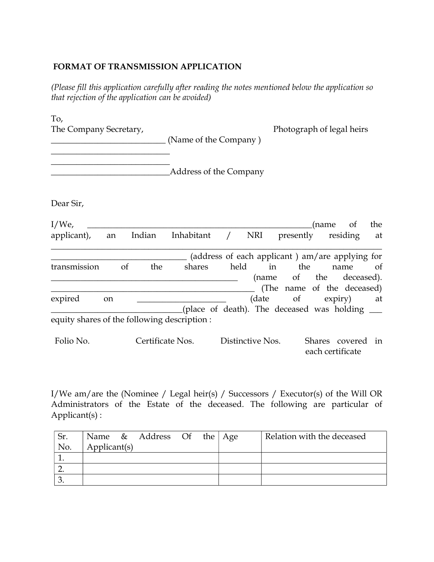## FORMAT OF TRANSMISSION APPLICATION

(Please fill this application carefully after reading the notes mentioned below the application so that rejection of the application can be avoided)

| To, |                       |
|-----|-----------------------|
|     | The Comnany Secretary |

\_\_\_\_\_\_\_\_\_\_\_\_\_\_\_\_\_\_\_\_\_\_\_\_\_\_\_\_  $\mathcal{L}=\mathcal{L}=\mathcal{L}=\mathcal{L}=\mathcal{L}=\mathcal{L}=\mathcal{L}=\mathcal{L}=\mathcal{L}=\mathcal{L}=\mathcal{L}=\mathcal{L}=\mathcal{L}=\mathcal{L}=\mathcal{L}=\mathcal{L}=\mathcal{L}=\mathcal{L}=\mathcal{L}=\mathcal{L}=\mathcal{L}=\mathcal{L}=\mathcal{L}=\mathcal{L}=\mathcal{L}=\mathcal{L}=\mathcal{L}=\mathcal{L}=\mathcal{L}=\mathcal{L}=\mathcal{L}=\mathcal{L}=\mathcal{L}=\mathcal{L}=\mathcal{L}=\mathcal{L}=\mathcal{$ 

The Company Secretary, The Company Secretary,

|  | (Name of the Company) |  |
|--|-----------------------|--|
|--|-----------------------|--|

Dear Sir,

| $I/We$ ,<br>applicant),                     | an            |               | Indian | Inhabitant / | NRI  | presently   | (name | of<br>residing at                               | the |
|---------------------------------------------|---------------|---------------|--------|--------------|------|-------------|-------|-------------------------------------------------|-----|
|                                             |               |               |        |              |      |             |       | (address of each applicant) am/are applying for |     |
| transmission                                |               | <sub>of</sub> | the    | shares       | held | in the name |       |                                                 | of  |
|                                             |               |               |        |              |      |             |       | (name of the deceased).                         |     |
|                                             |               |               |        |              |      |             |       | (The name of the deceased)                      |     |
| expired                                     | <sub>on</sub> |               |        |              |      |             |       | (date of expiry) at                             |     |
|                                             |               |               |        |              |      |             |       | (place of death). The deceased was holding ___  |     |
| equity shares of the following description: |               |               |        |              |      |             |       |                                                 |     |

Folio No. Certificate Nos. Distinctive Nos. Shares covered in each certificate

I/We am/are the (Nominee / Legal heir(s) / Successors / Executor(s) of the Will OR Administrators of the Estate of the deceased. The following are particular of Applicant(s) :

| Sr. |              | Name $\&$ Address Of the Age |  | Relation with the deceased |
|-----|--------------|------------------------------|--|----------------------------|
| No. | Applicant(s) |                              |  |                            |
|     |              |                              |  |                            |
|     |              |                              |  |                            |
|     |              |                              |  |                            |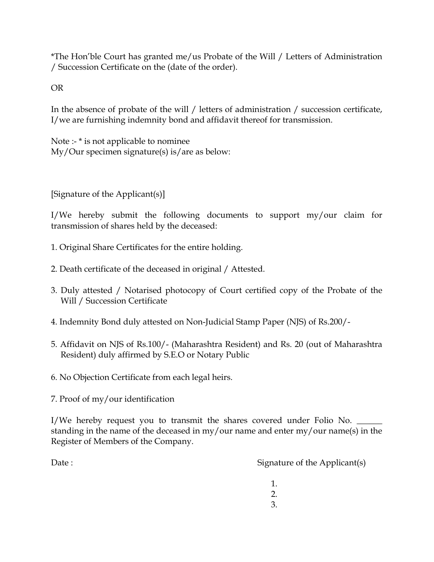\*The Hon'ble Court has granted me/us Probate of the Will / Letters of Administration / Succession Certificate on the (date of the order).

OR

In the absence of probate of the will / letters of administration / succession certificate, I/we are furnishing indemnity bond and affidavit thereof for transmission.

Note :- \* is not applicable to nominee My/Our specimen signature(s) is/are as below:

[Signature of the Applicant(s)]

I/We hereby submit the following documents to support my/our claim for transmission of shares held by the deceased:

- 1. Original Share Certificates for the entire holding.
- 2. Death certificate of the deceased in original / Attested.
- 3. Duly attested / Notarised photocopy of Court certified copy of the Probate of the Will / Succession Certificate
- 4. Indemnity Bond duly attested on Non-Judicial Stamp Paper (NJS) of Rs.200/-
- 5. Affidavit on NJS of Rs.100/- (Maharashtra Resident) and Rs. 20 (out of Maharashtra Resident) duly affirmed by S.E.O or Notary Public
- 6. No Objection Certificate from each legal heirs.
- 7. Proof of my/our identification

I/We hereby request you to transmit the shares covered under Folio No. \_\_\_\_\_\_\_\_\_ standing in the name of the deceased in my/our name and enter my/our name(s) in the Register of Members of the Company.

Date : Signature of the Applicant(s)

1. 2. 3.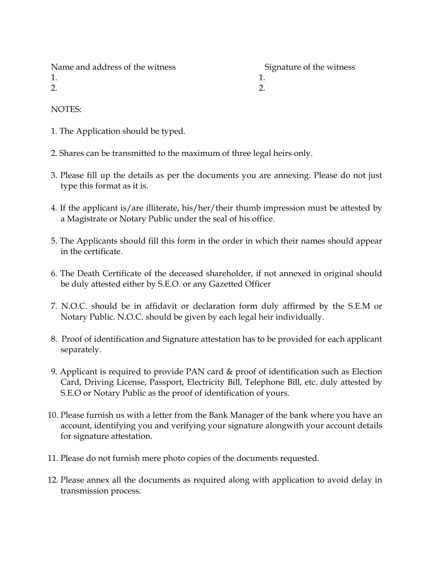| Name and address of the witness | Signature of the witness |
|---------------------------------|--------------------------|
|                                 |                          |
|                                 |                          |
|                                 |                          |

NOTES:

- 1. The Application should be typed.
- 2. Shares can be transmitted to the maximum of three legal heirs only.
- 3. Please fill up the details as per the documents you are annexing. Please do not just type this format as it is.
- 4. If the applicant is/are illiterate, his/her/their thumb impression must be attested by a Magistrate or Notary Public under the seal of his office.
- 5. The Applicants should fill this form in the order in which their names should appear in the certificate.
- 6. The Death Certificate of the deceased shareholder, if not annexed in original should be duly attested either by S.E.O. or any Gazetted Officer
- 7. N.O.C. should be in affidavit or declaration form duly affirmed by the S.E.M or Notary Public. N.O.C. should be given by each legal heir individually.
- 8. Proof of identification and Signature attestation has to be provided for each applicant separately.
- 9. Applicant is required to provide PAN card & proof of identification such as Election Card, Driving License, Passport, Electricity Bill, Telephone Bill, etc. duly attested by S.E.O or Notary Public as the proof of identification of yours.
- 10. Please furnish us with a letter from the Bank Manager of the bank where you have an account, identifying you and verifying your signature alongwith your account details for signature attestation.
- 11. Please do not furnish mere photo copies of the documents requested.
- 12. Please annex all the documents as required along with application to avoid delay in transmission process.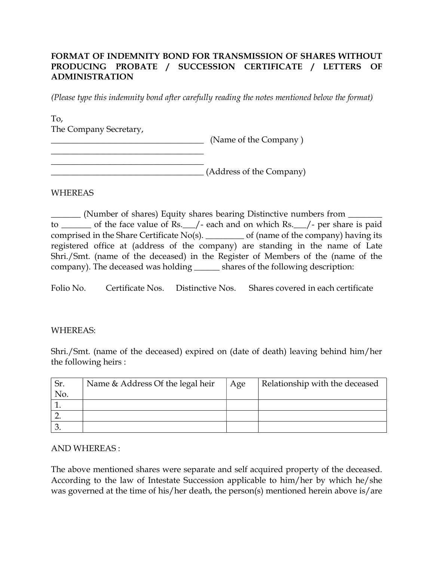# FORMAT OF INDEMNITY BOND FOR TRANSMISSION OF SHARES WITHOUT PRODUCING PROBATE / SUCCESSION CERTIFICATE / LETTERS OF ADMINISTRATION

(Please type this indemnity bond after carefully reading the notes mentioned below the format)

To, The Company Secretary,

 $\overline{\phantom{a}}$  , where  $\overline{\phantom{a}}$  , where  $\overline{\phantom{a}}$  , where  $\overline{\phantom{a}}$  , where  $\overline{\phantom{a}}$ 

 $\begin{array}{ccc} \hline \end{array}$  (Name of the Company )

 $\overline{\phantom{a}}$  , where  $\overline{\phantom{a}}$  , where  $\overline{\phantom{a}}$  , where  $\overline{\phantom{a}}$  , where  $\overline{\phantom{a}}$  , where  $\overline{\phantom{a}}$ \_\_\_\_\_\_\_\_\_\_\_\_\_\_\_\_\_\_\_\_\_\_\_\_\_\_\_\_\_\_\_\_\_\_\_\_ (Address of the Company)

#### WHEREAS

\_\_\_\_\_\_\_ (Number of shares) Equity shares bearing Distinctive numbers from \_\_\_\_\_\_\_\_ to \_\_\_\_\_\_\_ of the face value of Rs.\_\_\_/- each and on which Rs.\_\_\_/- per share is paid comprised in the Share Certificate No(s). \_\_\_\_\_\_\_\_\_ of (name of the company) having its registered office at (address of the company) are standing in the name of Late Shri./Smt. (name of the deceased) in the Register of Members of the (name of the company). The deceased was holding \_\_\_\_\_\_ shares of the following description:

Folio No. Certificate Nos. Distinctive Nos. Shares covered in each certificate

### WHEREAS:

Shri./Smt. (name of the deceased) expired on (date of death) leaving behind him/her the following heirs :

| Sr. | Name & Address Of the legal heir | Age | Relationship with the deceased |
|-----|----------------------------------|-----|--------------------------------|
| No. |                                  |     |                                |
|     |                                  |     |                                |
|     |                                  |     |                                |
|     |                                  |     |                                |

#### AND WHEREAS :

The above mentioned shares were separate and self acquired property of the deceased. According to the law of Intestate Succession applicable to him/her by which he/she was governed at the time of his/her death, the person(s) mentioned herein above is/are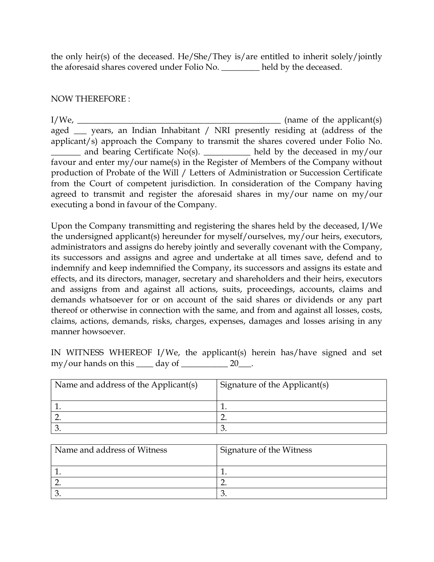the only heir(s) of the deceased. He/She/They is/are entitled to inherit solely/jointly the aforesaid shares covered under Folio No. \_\_\_\_\_\_\_\_\_\_ held by the deceased.

## NOW THEREFORE :

 $I/We$ ,  $\frac{I/We}{I/W}$  (name of the applicant(s) aged \_\_\_ years, an Indian Inhabitant / NRI presently residing at (address of the applicant/s) approach the Company to transmit the shares covered under Folio No. \_\_\_\_\_\_\_ and bearing Certificate No(s). \_\_\_\_\_\_\_\_\_\_\_ held by the deceased in my/our favour and enter my/our name(s) in the Register of Members of the Company without production of Probate of the Will / Letters of Administration or Succession Certificate from the Court of competent jurisdiction. In consideration of the Company having agreed to transmit and register the aforesaid shares in my/our name on my/our executing a bond in favour of the Company.

Upon the Company transmitting and registering the shares held by the deceased, I/We the undersigned applicant(s) hereunder for myself/ourselves, my/our heirs, executors, administrators and assigns do hereby jointly and severally covenant with the Company, its successors and assigns and agree and undertake at all times save, defend and to indemnify and keep indemnified the Company, its successors and assigns its estate and effects, and its directors, manager, secretary and shareholders and their heirs, executors and assigns from and against all actions, suits, proceedings, accounts, claims and demands whatsoever for or on account of the said shares or dividends or any part thereof or otherwise in connection with the same, and from and against all losses, costs, claims, actions, demands, risks, charges, expenses, damages and losses arising in any manner howsoever.

IN WITNESS WHEREOF I/We, the applicant(s) herein has/have signed and set  $\text{my}/\text{our hands on this}$  day of \_\_\_\_\_\_\_\_\_\_\_\_\_\_ 20\_\_\_.

| Name and address of the Applicant(s) | Signature of the Applicant(s) |
|--------------------------------------|-------------------------------|
|                                      |                               |
|                                      |                               |
|                                      |                               |

| Name and address of Witness | <b>Signature of the Witness</b> |
|-----------------------------|---------------------------------|
|                             |                                 |
|                             |                                 |
|                             |                                 |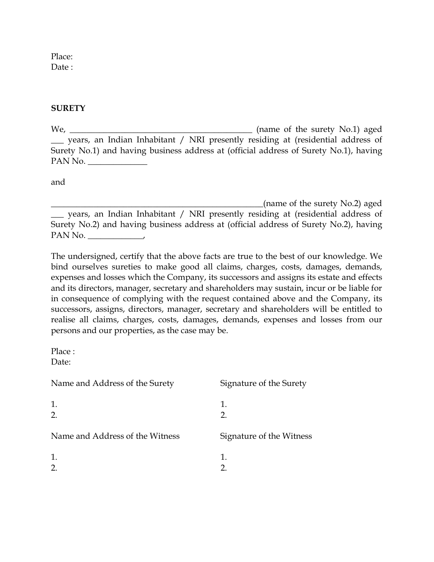Place: Date:

### **SURETY**

We, \_\_\_\_\_\_\_\_\_\_\_\_\_\_\_\_\_\_\_\_\_\_\_\_\_\_\_\_\_\_\_\_\_\_\_\_\_\_\_\_\_\_\_ (name of the surety No.1) aged \_\_\_ years, an Indian Inhabitant / NRI presently residing at (residential address of Surety No.1) and having business address at (official address of Surety No.1), having PAN No. \_\_\_\_\_\_\_\_\_\_\_\_\_\_

and

(name of the surety  $No.2$ ) aged \_\_\_ years, an Indian Inhabitant / NRI presently residing at (residential address of Surety No.2) and having business address at (official address of Surety No.2), having PAN No.

The undersigned, certify that the above facts are true to the best of our knowledge. We bind ourselves sureties to make good all claims, charges, costs, damages, demands, expenses and losses which the Company, its successors and assigns its estate and effects and its directors, manager, secretary and shareholders may sustain, incur or be liable for in consequence of complying with the request contained above and the Company, its successors, assigns, directors, manager, secretary and shareholders will be entitled to realise all claims, charges, costs, damages, demands, expenses and losses from our persons and our properties, as the case may be.

Place :

Date:

| Name and Address of the Surety  | Signature of the Surety  |
|---------------------------------|--------------------------|
| 1.<br>2.                        | 1.<br>2.                 |
| Name and Address of the Witness | Signature of the Witness |
| 1.<br>$\overline{2}$ .          | 1.                       |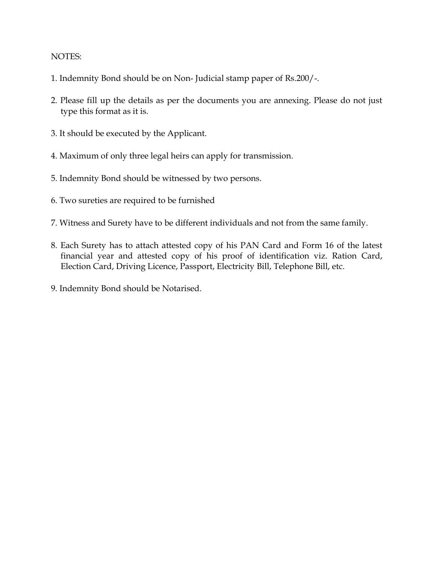#### NOTES:

- 1. Indemnity Bond should be on Non- Judicial stamp paper of Rs.200/-.
- 2. Please fill up the details as per the documents you are annexing. Please do not just type this format as it is.
- 3. It should be executed by the Applicant.
- 4. Maximum of only three legal heirs can apply for transmission.
- 5. Indemnity Bond should be witnessed by two persons.
- 6. Two sureties are required to be furnished
- 7. Witness and Surety have to be different individuals and not from the same family.
- 8. Each Surety has to attach attested copy of his PAN Card and Form 16 of the latest financial year and attested copy of his proof of identification viz. Ration Card, Election Card, Driving Licence, Passport, Electricity Bill, Telephone Bill, etc.
- 9. Indemnity Bond should be Notarised.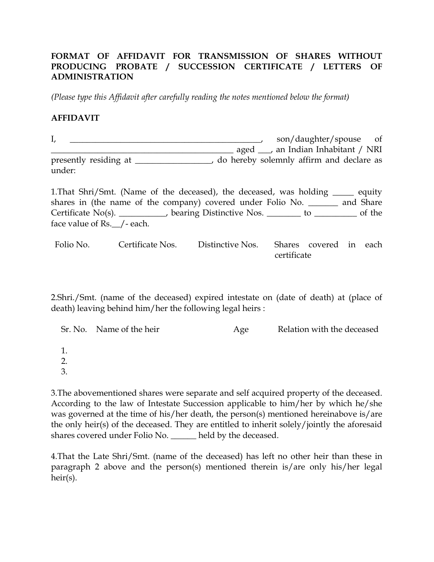# FORMAT OF AFFIDAVIT FOR TRANSMISSION OF SHARES WITHOUT PRODUCING PROBATE / SUCCESSION CERTIFICATE / LETTERS OF ADMINISTRATION

(Please type this Affidavit after carefully reading the notes mentioned below the format)

### AFFIDAVIT

I, \_\_\_\_\_\_\_\_\_\_\_\_\_\_\_\_\_\_\_\_\_\_\_\_\_\_\_\_\_\_\_\_\_\_\_\_\_\_\_\_\_\_\_\_\_, son/daughter/spouse of \_\_\_\_\_\_\_\_\_\_\_\_\_\_\_\_\_\_\_\_\_\_\_\_\_\_\_\_\_\_\_\_\_\_\_\_\_\_\_\_\_\_\_ aged \_\_\_, an Indian Inhabitant / NRI presently residing at \_\_\_\_\_\_\_\_\_\_\_\_\_\_\_, do hereby solemnly affirm and declare as under:

1.That Shri/Smt. (Name of the deceased), the deceased, was holding \_\_\_\_\_ equity shares in (the name of the company) covered under Folio No. \_\_\_\_\_\_\_ and Share Certificate No(s). \_\_\_\_\_\_\_\_\_, bearing Distinctive Nos. \_\_\_\_\_\_\_\_ to \_\_\_\_\_\_\_\_\_\_ of the face value of Rs.\_\_/- each.

Folio No. Certificate Nos. Distinctive Nos. Shares covered in each certificate

2.Shri./Smt. (name of the deceased) expired intestate on (date of death) at (place of death) leaving behind him/her the following legal heirs :

|                  | Sr. No. Name of the heir | Age | Relation with the deceased |
|------------------|--------------------------|-----|----------------------------|
|                  |                          |     |                            |
| $\overline{2}$ . |                          |     |                            |
| 3.               |                          |     |                            |

3.The abovementioned shares were separate and self acquired property of the deceased. According to the law of Intestate Succession applicable to him/her by which he/she was governed at the time of his/her death, the person(s) mentioned hereinabove is/are the only heir(s) of the deceased. They are entitled to inherit solely/jointly the aforesaid shares covered under Folio No. \_\_\_\_\_\_ held by the deceased.

4.That the Late Shri/Smt. (name of the deceased) has left no other heir than these in paragraph 2 above and the person(s) mentioned therein is/are only his/her legal heir(s).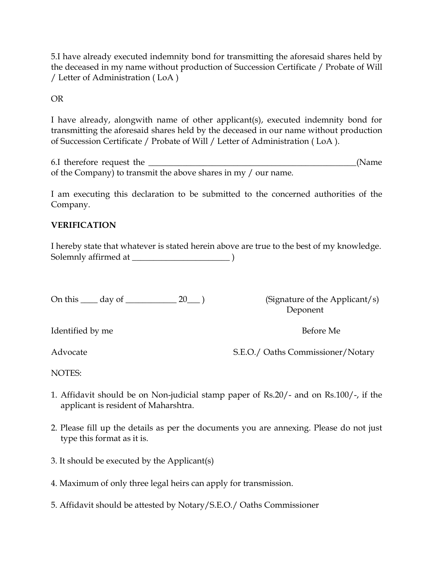5.I have already executed indemnity bond for transmitting the aforesaid shares held by the deceased in my name without production of Succession Certificate / Probate of Will / Letter of Administration ( LoA )

# OR

I have already, alongwith name of other applicant(s), executed indemnity bond for transmitting the aforesaid shares held by the deceased in our name without production of Succession Certificate / Probate of Will / Letter of Administration ( LoA ).

6.I therefore request the \_\_\_\_\_\_\_\_\_\_\_\_\_\_\_\_\_\_\_\_\_\_\_\_\_\_\_\_\_\_\_\_\_\_\_\_\_\_\_\_\_\_\_\_\_\_\_\_\_(Name of the Company) to transmit the above shares in my / our name.

I am executing this declaration to be submitted to the concerned authorities of the Company.

# VERIFICATION

I hereby state that whatever is stated herein above are true to the best of my knowledge. Solemnly affirmed at \_\_\_\_\_\_\_\_\_\_\_\_\_\_\_\_\_\_\_\_\_\_\_ )

On this \_\_\_\_ day of \_\_\_\_\_\_\_\_\_\_\_\_ 20\_\_\_ ) (Signature of the Applicant/s)

Deponent

Identified by me Before Me

Advocate S.E.O./ Oaths Commissioner/Notary

NOTES:

- 1. Affidavit should be on Non-judicial stamp paper of Rs.20/- and on Rs.100/-, if the applicant is resident of Maharshtra.
- 2. Please fill up the details as per the documents you are annexing. Please do not just type this format as it is.
- 3. It should be executed by the Applicant(s)
- 4. Maximum of only three legal heirs can apply for transmission.
- 5. Affidavit should be attested by Notary/S.E.O./ Oaths Commissioner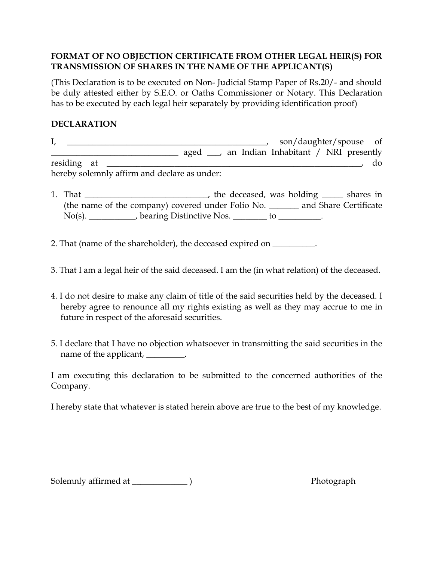# FORMAT OF NO OBJECTION CERTIFICATE FROM OTHER LEGAL HEIR(S) FOR TRANSMISSION OF SHARES IN THE NAME OF THE APPLICANT(S)

(This Declaration is to be executed on Non- Judicial Stamp Paper of Rs.20/- and should be duly attested either by S.E.O. or Oaths Commissioner or Notary. This Declaration has to be executed by each legal heir separately by providing identification proof)

## DECLARATION

I, \_\_\_\_\_\_\_\_\_\_\_\_\_\_\_\_\_\_\_\_\_\_\_\_\_\_\_\_\_\_\_\_\_\_\_\_\_\_\_\_\_\_\_\_\_\_\_, son/daughter/spouse of \_\_\_\_\_\_\_\_\_\_\_\_\_\_\_\_\_\_\_\_\_\_\_\_\_\_\_\_\_\_ aged \_\_\_, an Indian Inhabitant / NRI presently residing at \_\_\_\_\_\_\_\_\_\_\_\_\_\_\_\_\_\_\_\_\_\_\_\_\_\_\_\_\_\_\_\_\_\_\_\_\_\_\_\_\_\_\_\_\_\_\_\_\_\_\_\_\_\_\_\_\_\_\_\_, do hereby solemnly affirm and declare as under:

- 1. That \_\_\_\_\_\_\_\_\_\_\_\_\_\_\_\_\_\_\_\_\_\_\_\_\_\_\_, the deceased, was holding \_\_\_\_\_ shares in (the name of the company) covered under Folio No. \_\_\_\_\_\_\_ and Share Certificate No(s). \_\_\_\_\_\_\_\_\_\_\_, bearing Distinctive Nos. \_\_\_\_\_\_\_\_ to \_\_\_\_\_\_\_\_\_\_.
- 2. That (name of the shareholder), the deceased expired on \_\_\_\_\_\_\_\_\_.
- 3. That I am a legal heir of the said deceased. I am the (in what relation) of the deceased.
- 4. I do not desire to make any claim of title of the said securities held by the deceased. I hereby agree to renounce all my rights existing as well as they may accrue to me in future in respect of the aforesaid securities.
- 5. I declare that I have no objection whatsoever in transmitting the said securities in the name of the applicant, \_\_\_\_\_\_\_\_\_.

I am executing this declaration to be submitted to the concerned authorities of the Company.

I hereby state that whatever is stated herein above are true to the best of my knowledge.

Solemnly affirmed at \_\_\_\_\_\_\_\_\_\_\_\_\_ ) Photograph